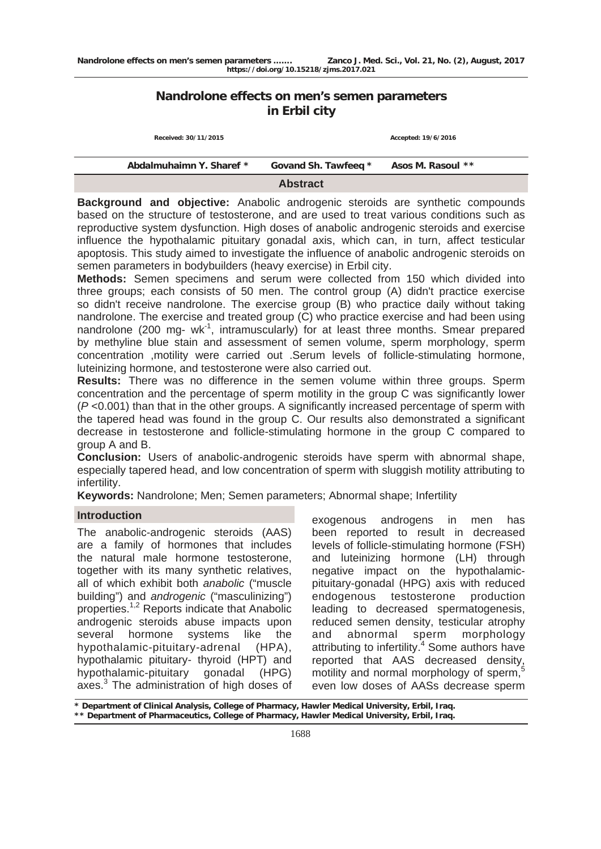# **Nandrolone effects on men's semen parameters in Erbil city**

| Received: 30/11/2015     |                      | Accepted: 19/6/2016 |  |  |  |
|--------------------------|----------------------|---------------------|--|--|--|
| Abdalmuhaimn Y. Sharef * | Govand Sh. Tawfeeq * | Asos M. Rasoul **   |  |  |  |
| <b>Abstract</b>          |                      |                     |  |  |  |

**Background and objective:** Anabolic androgenic steroids are synthetic compounds based on the structure of testosterone, and are used to treat various conditions such as reproductive system dysfunction. High doses of anabolic androgenic steroids and exercise influence the hypothalamic pituitary gonadal axis, which can, in turn, affect testicular apoptosis. This study aimed to investigate the influence of anabolic androgenic steroids on semen parameters in bodybuilders (heavy exercise) in Erbil city.

**Methods:** Semen specimens and serum were collected from 150 which divided into three groups; each consists of 50 men. The control group (A) didn't practice exercise so didn't receive nandrolone. The exercise group (B) who practice daily without taking nandrolone. The exercise and treated group (C) who practice exercise and had been using nandrolone (200 mg-  $wk^{-1}$ , intramuscularly) for at least three months. Smear prepared by methyline blue stain and assessment of semen volume, sperm morphology, sperm concentration ,motility were carried out .Serum levels of follicle-stimulating hormone, luteinizing hormone, and testosterone were also carried out.

**Results:** There was no difference in the semen volume within three groups. Sperm concentration and the percentage of sperm motility in the group C was significantly lower (*P* <0.001) than that in the other groups. A significantly increased percentage of sperm with the tapered head was found in the group C. Our results also demonstrated a significant decrease in testosterone and follicle-stimulating hormone in the group C compared to group A and B.

**Conclusion:** Users of anabolic-androgenic steroids have sperm with abnormal shape, especially tapered head, and low concentration of sperm with sluggish motility attributing to infertility.

**Keywords:** Nandrolone; Men; Semen parameters; Abnormal shape; Infertility

# **Introduction**

The anabolic-androgenic steroids (AAS) are a family of hormones that includes the natural male hormone testosterone, together with its many synthetic relatives, all of which exhibit both *anabolic* ("muscle building") and *androgenic* ("masculinizing") properties.1,2 Reports indicate that Anabolic androgenic steroids abuse impacts upon several hormone systems like the hypothalamic-pituitary-adrenal (HPA), hypothalamic pituitary- thyroid (HPT) and hypothalamic-pituitary gonadal (HPG) axes.<sup>3</sup> The administration of high doses of

exogenous androgens in men has been reported to result in decreased levels of follicle-stimulating hormone (FSH) and luteinizing hormone (LH) through negative impact on the hypothalamicpituitary-gonadal (HPG) axis with reduced endogenous testosterone production leading to decreased spermatogenesis, reduced semen density, testicular atrophy and abnormal sperm morphology attributing to infertility.<sup>4</sup> Some authors have reported that AAS decreased density, motility and normal morphology of sperm,<sup>5</sup> even low doses of AASs decrease sperm

**\* Department of Clinical Analysis, College of Pharmacy, Hawler Medical University, Erbil, Iraq. \*\* Department of Pharmaceutics, College of Pharmacy, Hawler Medical University, Erbil, Iraq.**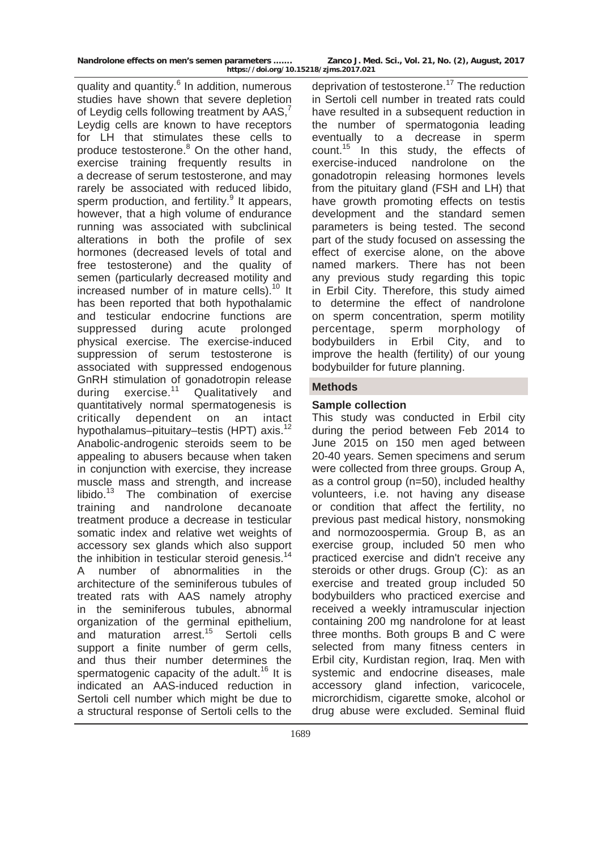quality and quantity.<sup>6</sup> In addition, numerous studies have shown that severe depletion of Leydig cells following treatment by AAS,<sup>7</sup> Leydig cells are known to have receptors for LH that stimulates these cells to produce testosterone.<sup>8</sup> On the other hand, exercise training frequently results in a decrease of serum testosterone, and may rarely be associated with reduced libido, sperm production, and fertility.<sup>9</sup> It appears, however, that a high volume of endurance running was associated with subclinical alterations in both the profile of sex hormones (decreased levels of total and free testosterone) and the quality of semen (particularly decreased motility and increased number of in mature cells).<sup>10</sup> It has been reported that both hypothalamic and testicular endocrine functions are suppressed during acute prolonged physical exercise. The exercise-induced suppression of serum testosterone is associated with suppressed endogenous GnRH stimulation of gonadotropin release<br>during exercise.<sup>11</sup> Qualitatively and during exercise.<sup>11</sup> Qualitatively and quantitatively normal spermatogenesis is critically dependent on an intact hypothalamus-pituitary-testis (HPT) axis.<sup>12</sup> Anabolic-androgenic steroids seem to be appealing to abusers because when taken in conjunction with exercise, they increase muscle mass and strength, and increase libido.13 The combination of exercise training and nandrolone decanoate treatment produce a decrease in testicular somatic index and relative wet weights of accessory sex glands which also support the inhibition in testicular steroid genesis. $14$ A number of abnormalities in the architecture of the seminiferous tubules of treated rats with AAS namely atrophy in the seminiferous tubules, abnormal organization of the germinal epithelium, and maturation arrest.15 Sertoli cells support a finite number of germ cells. and thus their number determines the spermatogenic capacity of the adult.<sup>16</sup> It is indicated an AAS-induced reduction in Sertoli cell number which might be due to a structural response of Sertoli cells to the

deprivation of testosterone.<sup>17</sup> The reduction in Sertoli cell number in treated rats could have resulted in a subsequent reduction in the number of spermatogonia leading eventually to a decrease in sperm count. $15$  In this study, the effects of exercise-induced nandrolone on the gonadotropin releasing hormones levels from the pituitary gland (FSH and LH) that have growth promoting effects on testis development and the standard semen parameters is being tested. The second part of the study focused on assessing the effect of exercise alone, on the above named markers. There has not been any previous study regarding this topic in Erbil City. Therefore, this study aimed to determine the effect of nandrolone on sperm concentration, sperm motility percentage, sperm morphology of bodybuilders in Erbil City, and to improve the health (fertility) of our young bodybuilder for future planning.

# **Methods**

### **Sample collection**

This study was conducted in Erbil city during the period between Feb 2014 to June 2015 on 150 men aged between 20-40 years. Semen specimens and serum were collected from three groups. Group A, as a control group (n=50), included healthy volunteers, i.e. not having any disease or condition that affect the fertility, no previous past medical history, nonsmoking and normozoospermia. Group B, as an exercise group, included 50 men who practiced exercise and didn't receive any steroids or other drugs. Group (C): as an exercise and treated group included 50 bodybuilders who practiced exercise and received a weekly intramuscular injection containing 200 mg nandrolone for at least three months. Both groups B and C were selected from many fitness centers in Erbil city, Kurdistan region, Iraq. Men with systemic and endocrine diseases, male accessory gland infection, varicocele, microrchidism, cigarette smoke, alcohol or drug abuse were excluded. Seminal fluid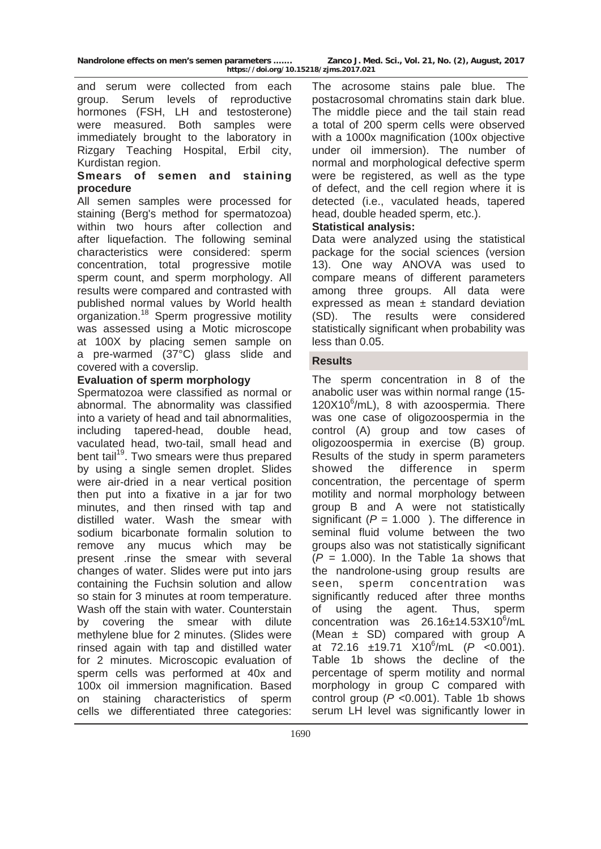|  |  | Nandrolone effects on men's semen parameters |  |
|--|--|----------------------------------------------|--|
|  |  | 1.1111.1140                                  |  |

Zanco J. Med. Sci., Vol. 21, No. (2), August, 2017 **https://doi.org/10.15218/zjms.2017.021**

and serum were collected from each group. Serum levels of reproductive hormones (FSH, LH and testosterone) were measured. Both samples were immediately brought to the laboratory in Rizgary Teaching Hospital, Erbil city, Kurdistan region.

### **Smears of semen and staining procedure**

All semen samples were processed for staining (Berg's method for spermatozoa) within two hours after collection and after liquefaction. The following seminal characteristics were considered: sperm concentration, total progressive motile sperm count, and sperm morphology. All results were compared and contrasted with published normal values by World health organization.18 Sperm progressive motility was assessed using a Motic microscope at 100X by placing semen sample on a pre-warmed (37°C) glass slide and covered with a coverslip.

# **Evaluation of sperm morphology**

Spermatozoa were classified as normal or abnormal. The abnormality was classified into a variety of head and tail abnormalities, including tapered-head, double head, vaculated head, two-tail, small head and bent tail<sup>19</sup>. Two smears were thus prepared by using a single semen droplet. Slides were air-dried in a near vertical position then put into a fixative in a jar for two minutes, and then rinsed with tap and distilled water. Wash the smear with sodium bicarbonate formalin solution to remove any mucus which may be present .rinse the smear with several changes of water. Slides were put into jars containing the Fuchsin solution and allow so stain for 3 minutes at room temperature. Wash off the stain with water. Counterstain by covering the smear with dilute methylene blue for 2 minutes. (Slides were rinsed again with tap and distilled water for 2 minutes. Microscopic evaluation of sperm cells was performed at 40x and 100x oil immersion magnification. Based staining characteristics of sperm cells we differentiated three categories:

The acrosome stains pale blue. The postacrosomal chromatins stain dark blue. The middle piece and the tail stain read a total of 200 sperm cells were observed with a 1000x magnification (100x objective under oil immersion). The number of normal and morphological defective sperm were be registered, as well as the type of defect, and the cell region where it is detected (i.e., vaculated heads, tapered head, double headed sperm, etc.).

# **Statistical analysis:**

Data were analyzed using the statistical package for the social sciences (version 13). One way ANOVA was used to compare means of different parameters among three groups. All data were expressed as mean  $\pm$  standard deviation (SD). The results were considered statistically significant when probability was less than 0.05.

# **Results**

The sperm concentration in 8 of the anabolic user was within normal range (15- 120X10<sup>6</sup>/mL), 8 with azoospermia. There was one case of oligozoospermia in the control (A) group and tow cases of oligozoospermia in exercise (B) group. Results of the study in sperm parameters showed the difference in sperm concentration, the percentage of sperm motility and normal morphology between group B and A were not statistically significant  $(P = 1.000)$ . The difference in seminal fluid volume between the two groups also was not statistically significant  $(P = 1.000)$ . In the Table 1a shows that the nandrolone-using group results are seen, sperm concentration was significantly reduced after three months of using the agent. Thus, sperm  $concentration$  was  $26.16 \pm 14.53 \times 10^6$ /mL (Mean ± SD) compared with group A at 72.16 ±19.71 X10<sup>6</sup> /mL (*P* <0.001). Table 1b shows the decline of the percentage of sperm motility and normal morphology in group C compared with control group (*P* <0.001). Table 1b shows serum LH level was significantly lower in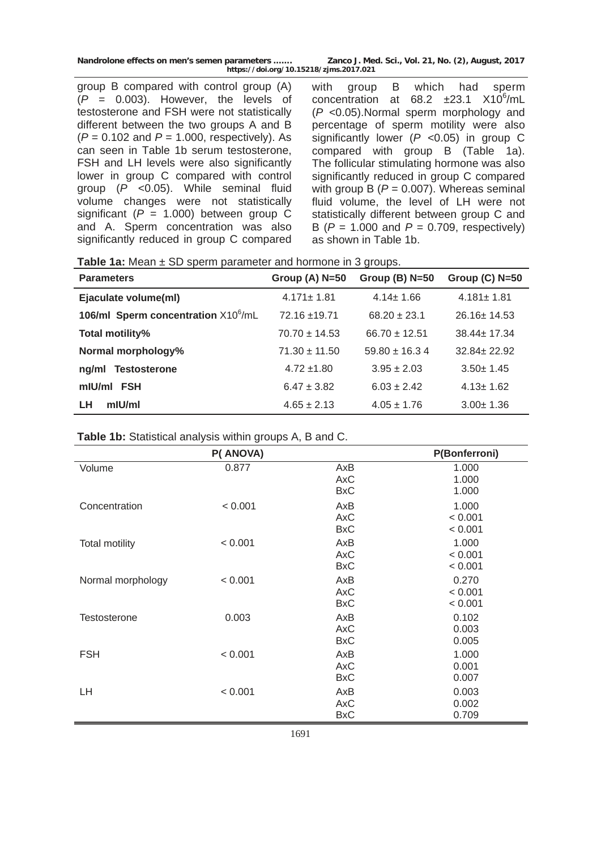| Nandrolone effects on men's semen parameters | Zanco J. Med. Sci., Vol. 21, No. (2), August, 2017 |
|----------------------------------------------|----------------------------------------------------|
| https://doi.org/10.15218/zjms.2017.021       |                                                    |

group B compared with control group (A) (*P* = 0.003). However, the levels of testosterone and FSH were not statistically different between the two groups A and B (*P* = 0.102 and *P* = 1.000, respectively). As can seen in Table 1b serum testosterone, FSH and LH levels were also significantly lower in group C compared with control group (*P* <0.05). While seminal fluid volume changes were not statistically significant  $(P = 1.000)$  between group C and A. Sperm concentration was also significantly reduced in group C compared with group B which had sperm concentration at  $68.2 \pm 23.1$   $X10^6$ /mL (*P* <0.05).Normal sperm morphology and percentage of sperm motility were also significantly lower (*P* <0.05) in group C compared with group B (Table 1a). The follicular stimulating hormone was also significantly reduced in group C compared with group  $B(P = 0.007)$ . Whereas seminal fluid volume, the level of LH were not statistically different between group C and B (*P* = 1.000 and *P* = 0.709, respectively) as shown in Table 1b.

**Table 1a:** Mean  $\pm$  SD sperm parameter and hormone in 3 groups.

| <b>Parameters</b>                               | Group $(A)$ N=50  | Group $(B)$ N=50  | Group $(C)$ N=50  |
|-------------------------------------------------|-------------------|-------------------|-------------------|
| Ejaculate volume(ml)                            | $4.171 \pm 1.81$  | $4.14 \pm 1.66$   | $4.181 \pm 1.81$  |
| 106/ml Sperm concentration X10 <sup>6</sup> /mL | 72.16 ±19.71      | $68.20 \pm 23.1$  | $26.16 \pm 14.53$ |
| Total motility%                                 | $70.70 \pm 14.53$ | $66.70 \pm 12.51$ | $38.44 \pm 17.34$ |
| Normal morphology%                              | $71.30 \pm 11.50$ | $59.80 + 16.34$   | $32.84 \pm 22.92$ |
| ng/ml Testosterone                              | $4.72 \pm 1.80$   | $3.95 \pm 2.03$   | $3.50 \pm 1.45$   |
| mIU/mI FSH                                      | $6.47 \pm 3.82$   | $6.03 \pm 2.42$   | $4.13 \pm 1.62$   |
| $m$ IU/ml<br>LH                                 | $4.65 \pm 2.13$   | $4.05 \pm 1.76$   | $3.00 \pm 1.36$   |

**Table 1b:** Statistical analysis within groups A, B and C.

|                       | P(ANOVA) |                                 | P(Bonferroni)               |
|-----------------------|----------|---------------------------------|-----------------------------|
| Volume                | 0.877    | AxB<br><b>AxC</b><br><b>BxC</b> | 1.000<br>1.000<br>1.000     |
| Concentration         | < 0.001  | AxB<br><b>AxC</b><br><b>BxC</b> | 1.000<br>< 0.001<br>< 0.001 |
| <b>Total motility</b> | < 0.001  | AxB<br><b>AxC</b><br><b>BxC</b> | 1.000<br>< 0.001<br>< 0.001 |
| Normal morphology     | < 0.001  | AxB<br>AxC<br><b>BxC</b>        | 0.270<br>< 0.001<br>< 0.001 |
| <b>Testosterone</b>   | 0.003    | AxB<br>AxC<br><b>BxC</b>        | 0.102<br>0.003<br>0.005     |
| <b>FSH</b>            | < 0.001  | AxB<br>AxC<br><b>BxC</b>        | 1.000<br>0.001<br>0.007     |
| LH                    | < 0.001  | AxB<br>AxC<br><b>BxC</b>        | 0.003<br>0.002<br>0.709     |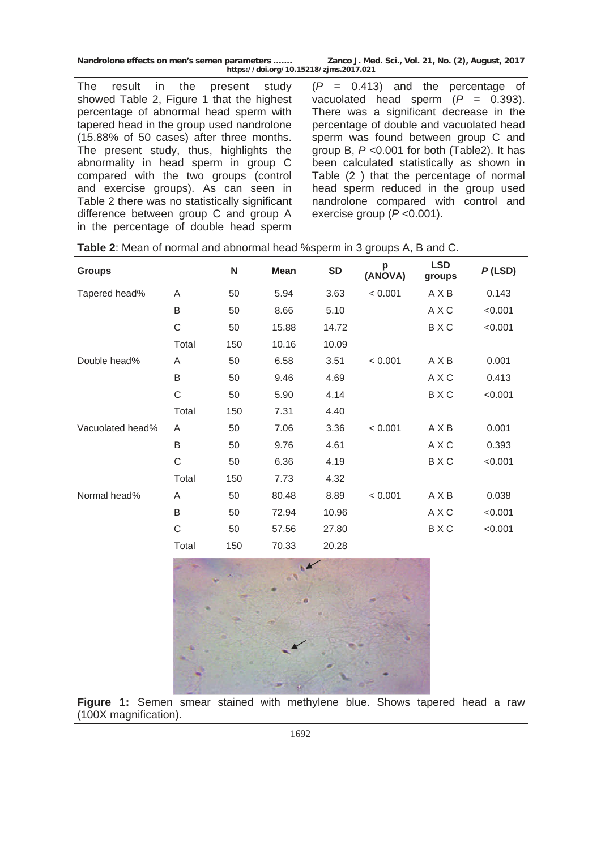**Nandrolone effects on men's semen parameters ……. Zanco J. Med. Sci., Vol. 21, No. (2), August, 2017 https://doi.org/10.15218/zjms.2017.021**

The result in the present study showed Table 2, Figure 1 that the highest percentage of abnormal head sperm with tapered head in the group used nandrolone (15.88% of 50 cases) after three months. The present study, thus, highlights the abnormality in head sperm in group C compared with the two groups (control and exercise groups). As can seen in Table 2 there was no statistically significant difference between group C and group A in the percentage of double head sperm

(*P* = 0.413) and the percentage of vacuolated head sperm  $(P = 0.393)$ . There was a significant decrease in the percentage of double and vacuolated head sperm was found between group C and group B, *P* <0.001 for both (Table2). It has been calculated statistically as shown in Table (2 ) that the percentage of normal head sperm reduced in the group used nandrolone compared with control and exercise group (*P* <0.001).

| <b>Groups</b>    |       | N   | <b>Mean</b> | <b>SD</b> | p<br>(ANOVA) | <b>LSD</b><br>groups | $P$ (LSD) |
|------------------|-------|-----|-------------|-----------|--------------|----------------------|-----------|
| Tapered head%    | A     | 50  | 5.94        | 3.63      | < 0.001      | <b>AXB</b>           | 0.143     |
|                  | B     | 50  | 8.66        | 5.10      |              | A X C                | < 0.001   |
|                  | C     | 50  | 15.88       | 14.72     |              | BXC                  | < 0.001   |
|                  | Total | 150 | 10.16       | 10.09     |              |                      |           |
| Double head%     | A     | 50  | 6.58        | 3.51      | < 0.001      | <b>AXB</b>           | 0.001     |
|                  | B     | 50  | 9.46        | 4.69      |              | A X C                | 0.413     |
|                  | C     | 50  | 5.90        | 4.14      |              | BXC                  | < 0.001   |
|                  | Total | 150 | 7.31        | 4.40      |              |                      |           |
| Vacuolated head% | A     | 50  | 7.06        | 3.36      | < 0.001      | <b>AXB</b>           | 0.001     |
|                  | B     | 50  | 9.76        | 4.61      |              | A X C                | 0.393     |
|                  | C     | 50  | 6.36        | 4.19      |              | BXC                  | < 0.001   |
|                  | Total | 150 | 7.73        | 4.32      |              |                      |           |
| Normal head%     | A     | 50  | 80.48       | 8.89      | < 0.001      | <b>AXB</b>           | 0.038     |
|                  | B     | 50  | 72.94       | 10.96     |              | A X C                | < 0.001   |
|                  | C     | 50  | 57.56       | 27.80     |              | BXC                  | < 0.001   |
|                  | Total | 150 | 70.33       | 20.28     |              |                      |           |



**Figure 1:** Semen smear stained with methylene blue. Shows tapered head a raw (100X magnification).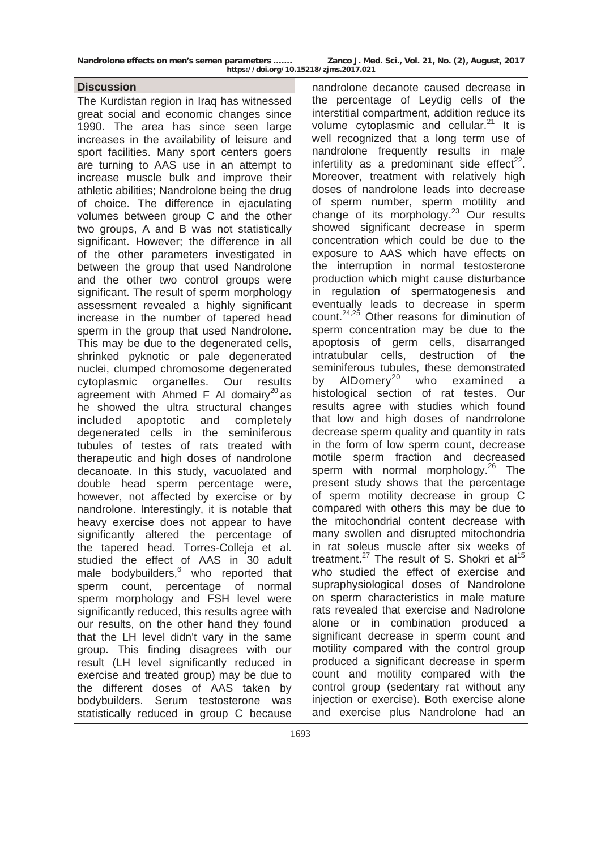#### **Discussion**

The Kurdistan region in Iraq has witnessed great social and economic changes since 1990. The area has since seen large increases in the availability of leisure and sport facilities. Many sport centers goers are turning to AAS use in an attempt to increase muscle bulk and improve their athletic abilities; Nandrolone being the drug of choice. The difference in ejaculating volumes between group C and the other two groups, A and B was not statistically significant. However; the difference in all of the other parameters investigated in between the group that used Nandrolone and the other two control groups were significant. The result of sperm morphology assessment revealed a highly significant increase in the number of tapered head sperm in the group that used Nandrolone. This may be due to the degenerated cells, shrinked pyknotic or pale degenerated nuclei, clumped chromosome degenerated cytoplasmic organelles. Our results agreement with Ahmed F AI domairy<sup>20</sup> as he showed the ultra structural changes included apoptotic and completely degenerated cells in the seminiferous tubules of testes of rats treated with therapeutic and high doses of nandrolone decanoate. In this study, vacuolated and double head sperm percentage were, however, not affected by exercise or by nandrolone. Interestingly, it is notable that heavy exercise does not appear to have significantly altered the percentage of the tapered head. Torres-Colleja et al. studied the effect of AAS in 30 adult male bodybuilders, $6$  who reported that sperm count, percentage of normal sperm morphology and FSH level were significantly reduced, this results agree with our results, on the other hand they found that the LH level didn't vary in the same group. This finding disagrees with our result (LH level significantly reduced in exercise and treated group) may be due to the different doses of AAS taken by bodybuilders. Serum testosterone was statistically reduced in group C because

nandrolone decanote caused decrease in the percentage of Leydig cells of the interstitial compartment, addition reduce its volume cytoplasmic and cellular. $21$  It is well recognized that a long term use of nandrolone frequently results in male infertility as a predominant side effect<sup>22</sup>. Moreover, treatment with relatively high doses of nandrolone leads into decrease of sperm number, sperm motility and change of its morphology.<sup>23</sup> Our results showed significant decrease in sperm concentration which could be due to the exposure to AAS which have effects on the interruption in normal testosterone production which might cause disturbance in regulation of spermatogenesis and eventually leads to decrease in sperm count.<sup>24,25</sup> Other reasons for diminution of sperm concentration may be due to the apoptosis of germ cells, disarranged intratubular cells, destruction of the seminiferous tubules, these demonstrated by AlDomery<sup>20</sup> who examined a histological section of rat testes. Our results agree with studies which found that low and high doses of nandrrolone decrease sperm quality and quantity in rats in the form of low sperm count, decrease motile sperm fraction and decreased sperm with normal morphology.<sup>26</sup> The present study shows that the percentage of sperm motility decrease in group C compared with others this may be due to the mitochondrial content decrease with many swollen and disrupted mitochondria in rat soleus muscle after six weeks of treatment.<sup>27</sup> The result of S. Shokri et  $al<sup>15</sup>$ who studied the effect of exercise and supraphysiological doses of Nandrolone on sperm characteristics in male mature rats revealed that exercise and Nadrolone alone or in combination produced a significant decrease in sperm count and motility compared with the control group produced a significant decrease in sperm count and motility compared with the control group (sedentary rat without any injection or exercise). Both exercise alone and exercise plus Nandrolone had an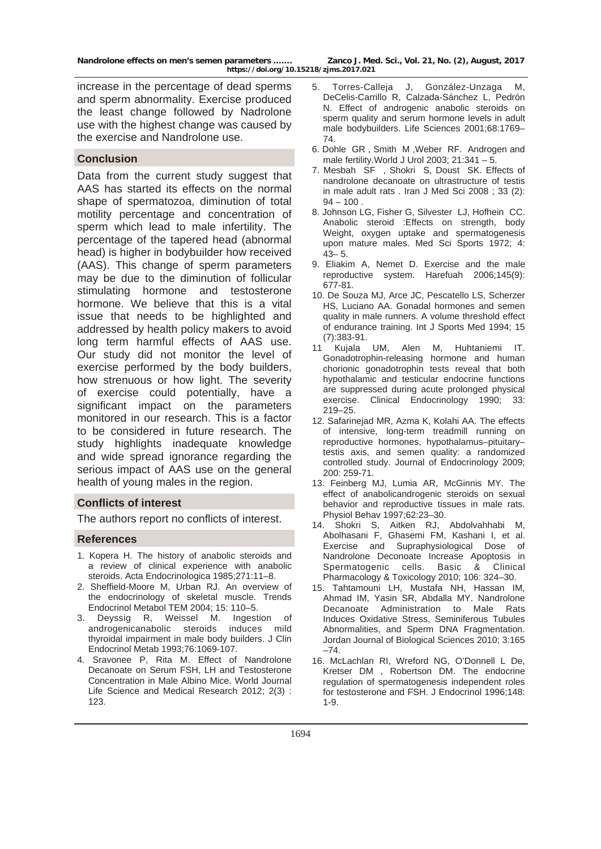increase in the percentage of dead sperms and sperm abnormality. Exercise produced the least change followed by Nadrolone use with the highest change was caused by the exercise and Nandrolone use.

### **Conclusion**

Data from the current study suggest that AAS has started its effects on the normal shape of spermatozoa, diminution of total motility percentage and concentration of sperm which lead to male infertility. The percentage of the tapered head (abnormal head) is higher in bodybuilder how received (AAS). This change of sperm parameters may be due to the diminution of follicular stimulating hormone and testosterone hormone. We believe that this is a vital issue that needs to be highlighted and addressed by health policy makers to avoid long term harmful effects of AAS use. Our study did not monitor the level of exercise performed by the body builders, how strenuous or how light. The severity of exercise could potentially, have a significant impact on the parameters monitored in our research. This is a factor to be considered in future research. The study highlights inadequate knowledge and wide spread ignorance regarding the serious impact of AAS use on the general health of young males in the region.

#### **Conflicts of interest**

The authors report no conflicts of interest.

#### **References**

- 1. Kopera H. The history of anabolic steroids and a review of clinical experience with anabolic steroids. Acta Endocrinologica 1985;271:11–8.
- 2. Sheffield-Moore M, Urban RJ. An overview of the endocrinology of skeletal muscle. Trends Endocrinol Metabol TEM 2004; 15: 110–5.
- 3. Deyssig R, Weissel M. Ingestion of androgenicanabolic steroids induces mild thyroidal impairment in male body builders. J Clin Endocrinol Metab 1993;76:1069-107.
- 4. Sravonee P, Rita M. Effect of Nandrolone Decanoate on Serum FSH, LH and Testosterone Concentration in Male Albino Mice. World Journal Life Science and Medical Research 2012; 2(3) : 123.
- 5. Torres-Calleja J, González-Unzaga M, DeCelis-Carrillo R, Calzada-Sánchez L, Pedrón N. Effect of androgenic anabolic steroids on sperm quality and serum hormone levels in adult male bodybuilders. Life Sciences 2001;68:1769– 74.
- 6. Dohle GR , Smith M ,Weber RF. Androgen and male fertility.World J Urol 2003; 21:341 – 5.
- 7. Mesbah SF , Shokri S, Doust SK. Effects of nandrolone decanoate on ultrastructure of testis in male adult rats . Iran J Med Sci 2008 ; 33 (2):  $94 - 100$ .
- 8. Johnson LG, Fisher G, Silvester LJ, Hofhein CC. Anabolic steroid :Effects on strength, body Weight, oxygen uptake and spermatogenesis upon mature males. Med Sci Sports 1972; 4: 43– 5.
- 9. Eliakim A, [Nemet D](http://www.ncbi.nlm.nih.gov/pubmed?term=Nemet%20D%5BAuthor%5D&cauthor=true&cauthor_uid=17078431). Exercise and the male reproductive system. Harefuah 2006;145(9): 677-81.
- 10. De Souza MJ, Arce JC, Pescatello LS, Scherzer HS, Luciano AA. Gonadal hormones and semen quality in male runners. A volume threshold effect of endurance training. Int J Sports Med 1994; 15 (7):383-91.
- 11 Kujala UM, Alen M, Huhtaniemi IT. Gonadotrophin-releasing hormone and human chorionic gonadotrophin tests reveal that both hypothalamic and testicular endocrine functions are suppressed during acute prolonged physical exercise. Clinical Endocrinology 1990; 33: 219–25.
- 12. Safarinejad MR, Azma K, Kolahi AA. The effects of intensive, long-term treadmill running on reproductive hormones, hypothalamus–pituitary– testis axis, and semen quality: a randomized controlled study. Journal of Endocrinology 2009; 200: 259-71.
- 13. Feinberg MJ, Lumia AR, McGinnis MY. The effect of anabolicandrogenic steroids on sexual behavior and reproductive tissues in male rats. Physiol Behav 1997;62:23–30.
- 14. Shokri S, Aitken RJ, Abdolvahhabi M, Abolhasani F, Ghasemi FM, Kashani I, et al. Exercise and Supraphysiological Dose of Nandrolone Deconoate Increase Apoptosis in Spermatogenic cells. Basic & Clinical Pharmacology & Toxicology 2010; 106: 324–30.
- 15. Tahtamouni LH, Mustafa NH, Hassan IM, Ahmad IM, Yasin SR, Abdalla MY. Nandrolone Decanoate Administration to Male Rats Induces Oxidative Stress, Seminiferous Tubules Abnormalities, and Sperm DNA Fragmentation. Jordan Journal of Biological Sciences 2010; 3:165 –74.
- 16. McLachlan RI, Wreford NG, O'Donnell L De, Kretser DM , Robertson DM. The endocrine regulation of spermatogenesis independent roles for testosterone and FSH. J Endocrinol 1996;148: 1-9.